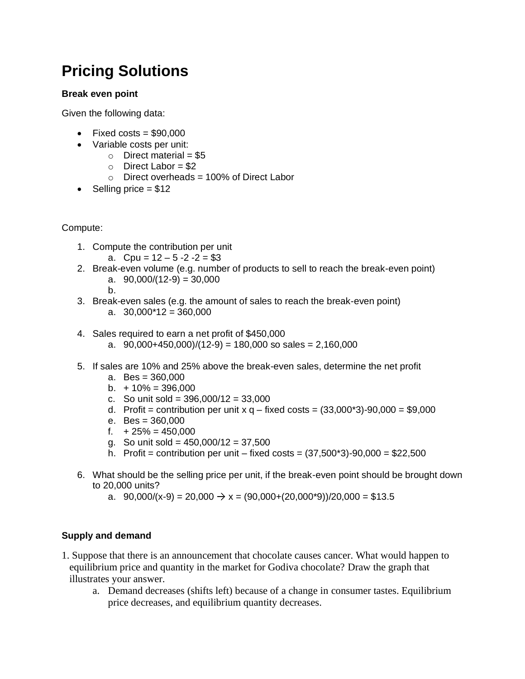# **Pricing Solutions**

## **Break even point**

Given the following data:

- Fixed costs =  $$90.000$
- Variable costs per unit:
	- $\circ$  Direct material = \$5
	- $\circ$  Direct Labor = \$2
	- $\circ$  Direct overheads = 100% of Direct Labor
- Selling price  $= $12$

#### Compute:

- 1. Compute the contribution per unit
	- a. Cpu =  $12 5 2 2 = $3$
- 2. Break-even volume (e.g. number of products to sell to reach the break-even point) a.  $90,000/(12-9) = 30,000$ 
	- b.
- 3. Break-even sales (e.g. the amount of sales to reach the break-even point) a.  $30,000*12 = 360,000$
- 4. Sales required to earn a net profit of \$450,000
	- a.  $90,000+450,000)/(12-9) = 180,000$  so sales = 2,160,000
- 5. If sales are 10% and 25% above the break-even sales, determine the net profit
	- a. Bes = 360,000
	- b.  $+10\% = 396,000$
	- c. So unit sold =  $396,000/12 = 33,000$
	- d. Profit = contribution per unit  $x q$  fixed costs =  $(33,000<sup>*</sup>3)-90,000 = $9,000$
	- e. Bes = 360,000
	- f.  $+25\% = 450,000$
	- g. So unit sold = 450,000/12 = 37,500
	- h. Profit = contribution per unit fixed costs =  $(37,500^*3)-90,000 = $22,500$
- 6. What should be the selling price per unit, if the break-even point should be brought down to 20,000 units?
	- a.  $90,000/(x-9) = 20,000 \rightarrow x = (90,000+(20,000*9))/20,000 = $13.5$

# **Supply and demand**

- 1. Suppose that there is an announcement that chocolate causes cancer. What would happen to equilibrium price and quantity in the market for Godiva chocolate? Draw the graph that illustrates your answer.
	- a. Demand decreases (shifts left) because of a change in consumer tastes. Equilibrium price decreases, and equilibrium quantity decreases.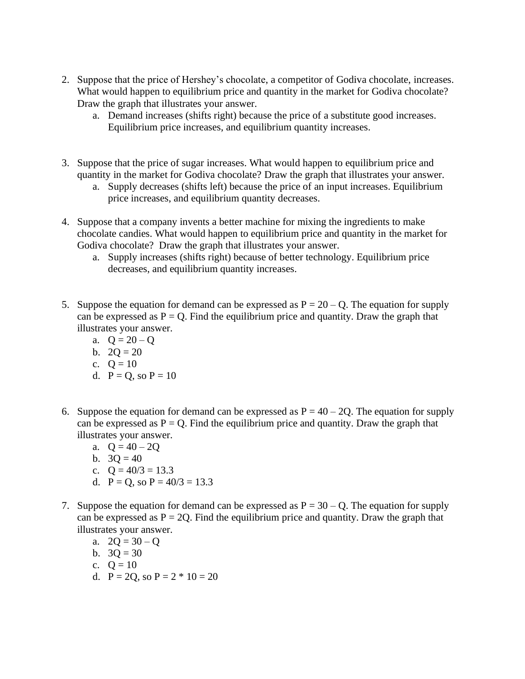- 2. Suppose that the price of Hershey's chocolate, a competitor of Godiva chocolate, increases. What would happen to equilibrium price and quantity in the market for Godiva chocolate? Draw the graph that illustrates your answer.
	- a. Demand increases (shifts right) because the price of a substitute good increases. Equilibrium price increases, and equilibrium quantity increases.
- 3. Suppose that the price of sugar increases. What would happen to equilibrium price and quantity in the market for Godiva chocolate? Draw the graph that illustrates your answer.
	- a. Supply decreases (shifts left) because the price of an input increases. Equilibrium price increases, and equilibrium quantity decreases.
- 4. Suppose that a company invents a better machine for mixing the ingredients to make chocolate candies. What would happen to equilibrium price and quantity in the market for Godiva chocolate? Draw the graph that illustrates your answer.
	- a. Supply increases (shifts right) because of better technology. Equilibrium price decreases, and equilibrium quantity increases.
- 5. Suppose the equation for demand can be expressed as  $P = 20 Q$ . The equation for supply can be expressed as  $P = Q$ . Find the equilibrium price and quantity. Draw the graph that illustrates your answer.
	- a.  $Q = 20 Q$
	- b.  $2Q = 20$
	- c.  $Q = 10$
	- d.  $P = Q$ , so  $P = 10$
- 6. Suppose the equation for demand can be expressed as  $P = 40 2Q$ . The equation for supply can be expressed as  $P = Q$ . Find the equilibrium price and quantity. Draw the graph that illustrates your answer.
	- a.  $Q = 40 2Q$
	- b.  $3Q = 40$
	- c.  $Q = 40/3 = 13.3$
	- d.  $P = Q$ , so  $P = 40/3 = 13.3$
- 7. Suppose the equation for demand can be expressed as  $P = 30 Q$ . The equation for supply can be expressed as  $P = 2Q$ . Find the equilibrium price and quantity. Draw the graph that illustrates your answer.
	- a.  $2Q = 30 Q$
	- b.  $3Q = 30$
	- c.  $Q = 10$
	- d.  $P = 2Q$ , so  $P = 2 * 10 = 20$